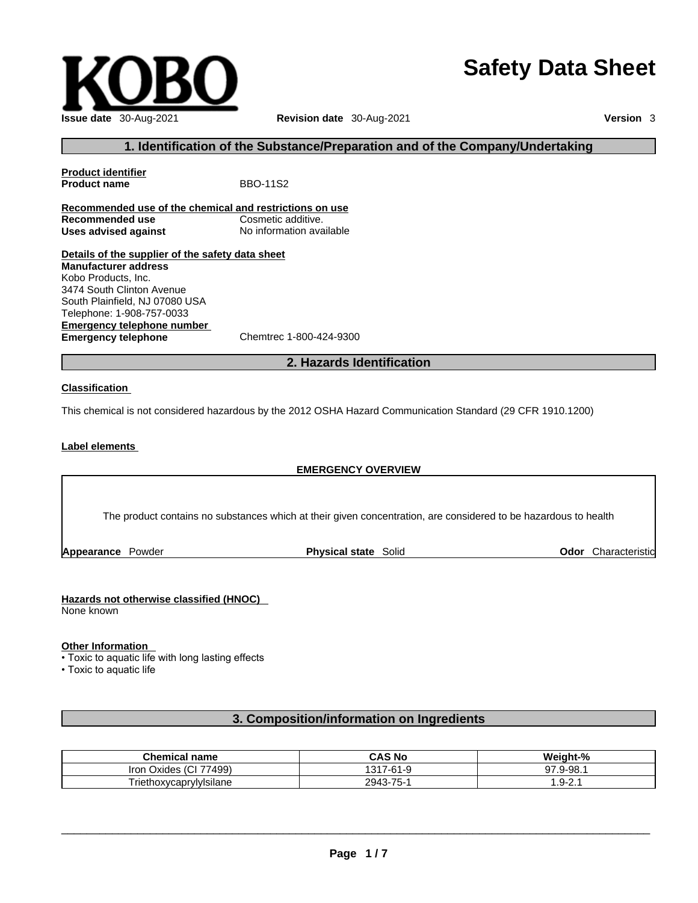# **Safety Data Sheet**



# **1. Identification of the Substance/Preparation and of the Company/Undertaking**

**Product identifier Product name** BBO-11S2 **Recommended use of the chemical and restrictions on use Recommended use Cosmetic additive.<br>
<b>Uses advised against** No information available **Uses advised against Details of the supplier of the safety data sheet Emergency telephone number**<br> **Emergency telephone**<br>
Chemtrec 1-800-424-9300 **Emergency telephone Manufacturer address** Kobo Products, Inc. 3474 South Clinton Avenue South Plainfield, NJ 07080 USA Telephone: 1-908-757-0033

# **2. Hazards Identification**

#### **Classification**

This chemical is not considered hazardous by the 2012 OSHA Hazard Communication Standard (29 CFR 1910.1200)

## **Label elements**

### **EMERGENCY OVERVIEW**

The product contains no substances which at their given concentration, are considered to be hazardous to health

**Appearance** Powder **Physical state** Solid

**Odor** Characteristic

### **Hazards not otherwise classified (HNOC)**

None known

### **Other Information**

• Toxic to aquatic life with long lasting effects

• Toxic to aquatic life

# **3. Composition/information on Ingredients**

| <b>Chemical name</b>                      | CAS No   | Weight-%        |
|-------------------------------------------|----------|-----------------|
| 77499)<br>$\sim$<br>Oxides<br>Iron<br>וטו | 7-61-9   | . 9-98. .<br>97 |
| .<br>Triethoxycaprylylsilane              | 2943-75- | 2.1-0.1         |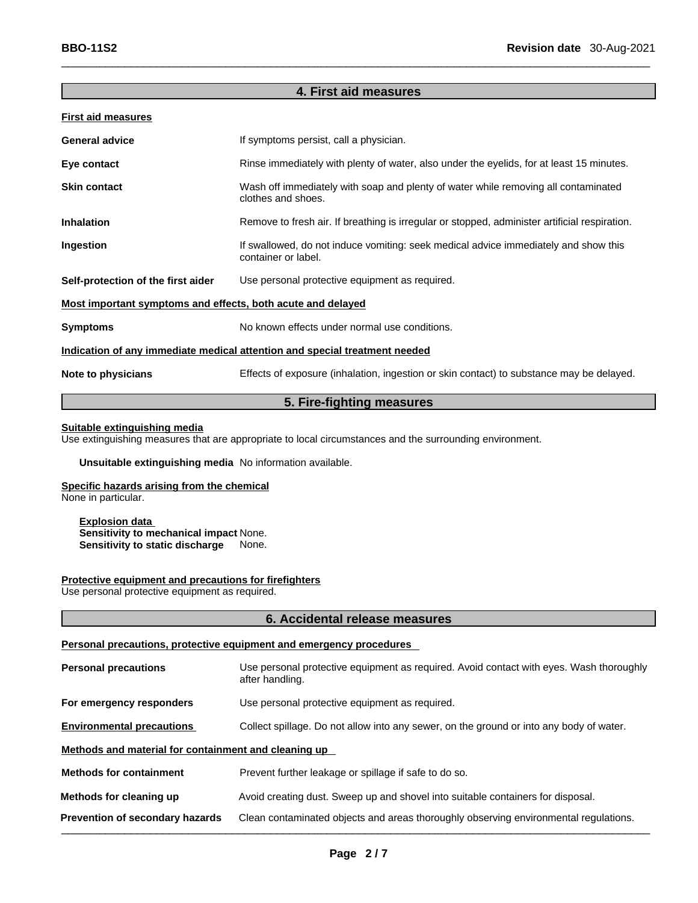# **4. First aid measures**

## **First aid measures**

| <b>General advice</b>                                                      | If symptoms persist, call a physician.                                                                     |  |  |
|----------------------------------------------------------------------------|------------------------------------------------------------------------------------------------------------|--|--|
| Eye contact                                                                | Rinse immediately with plenty of water, also under the eyelids, for at least 15 minutes.                   |  |  |
| <b>Skin contact</b>                                                        | Wash off immediately with soap and plenty of water while removing all contaminated<br>clothes and shoes.   |  |  |
| <b>Inhalation</b>                                                          | Remove to fresh air. If breathing is irregular or stopped, administer artificial respiration.              |  |  |
| Ingestion                                                                  | If swallowed, do not induce vomiting: seek medical advice immediately and show this<br>container or label. |  |  |
| Self-protection of the first aider                                         | Use personal protective equipment as required.                                                             |  |  |
| Most important symptoms and effects, both acute and delayed                |                                                                                                            |  |  |
| <b>Symptoms</b>                                                            | No known effects under normal use conditions.                                                              |  |  |
| Indication of any immediate medical attention and special treatment needed |                                                                                                            |  |  |
| Note to physicians                                                         | Effects of exposure (inhalation, ingestion or skin contact) to substance may be delayed.                   |  |  |
|                                                                            |                                                                                                            |  |  |

# **5. Fire-fighting measures**

# **Suitable extinguishing media**

Use extinguishing measures that are appropriate to local circumstances and the surrounding environment.

# **Unsuitable extinguishing media** No information available.

**Specific hazards arising from the chemical** None in particular.

**Explosion data Sensitivity to mechanical impact** None. **Sensitivity to static discharge** None.

#### **Protective equipment and precautions for firefighters**

Use personal protective equipment as required.

### **6. Accidental release measures**

#### **Personal precautions, protective equipment and emergency procedures**

| <b>Personal precautions</b>                          | Use personal protective equipment as required. Avoid contact with eyes. Wash thoroughly<br>after handling. |  |
|------------------------------------------------------|------------------------------------------------------------------------------------------------------------|--|
| For emergency responders                             | Use personal protective equipment as required.                                                             |  |
| <b>Environmental precautions</b>                     | Collect spillage. Do not allow into any sewer, on the ground or into any body of water.                    |  |
| Methods and material for containment and cleaning up |                                                                                                            |  |
| <b>Methods for containment</b>                       | Prevent further leakage or spillage if safe to do so.                                                      |  |
| Methods for cleaning up                              | Avoid creating dust. Sweep up and shovel into suitable containers for disposal.                            |  |
| Prevention of secondary hazards                      | Clean contaminated objects and areas thoroughly observing environmental regulations.                       |  |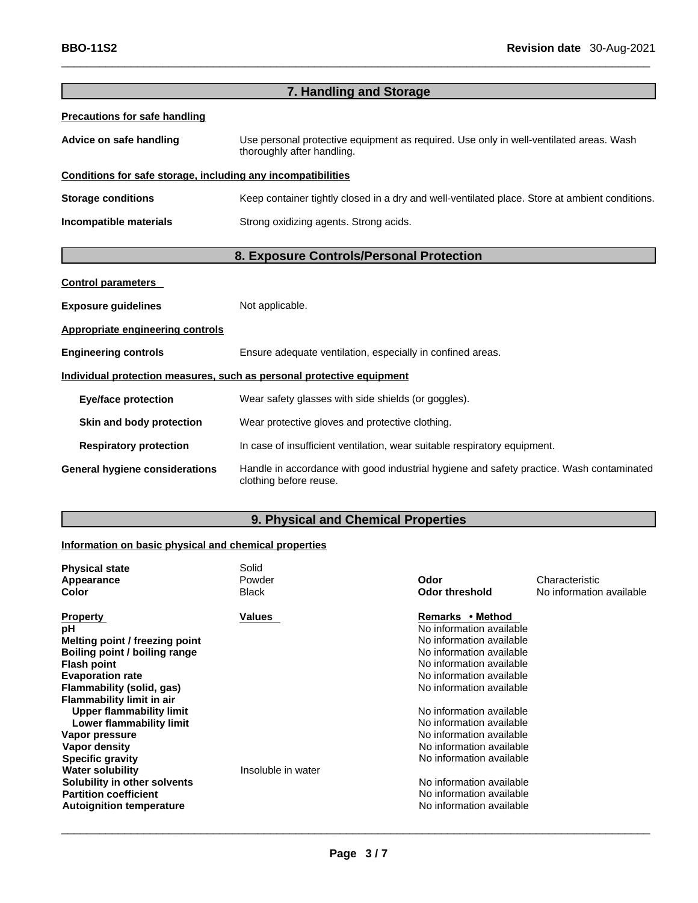|                                                              | 7. Handling and Storage                                                                                              |  |
|--------------------------------------------------------------|----------------------------------------------------------------------------------------------------------------------|--|
| <b>Precautions for safe handling</b>                         |                                                                                                                      |  |
| Advice on safe handling                                      | Use personal protective equipment as required. Use only in well-ventilated areas. Wash<br>thoroughly after handling. |  |
| Conditions for safe storage, including any incompatibilities |                                                                                                                      |  |
| <b>Storage conditions</b>                                    | Keep container tightly closed in a dry and well-ventilated place. Store at ambient conditions.                       |  |
| Incompatible materials                                       | Strong oxidizing agents. Strong acids.                                                                               |  |
|                                                              | 8. Exposure Controls/Personal Protection                                                                             |  |
| <b>Control parameters</b>                                    |                                                                                                                      |  |
| <b>Exposure guidelines</b>                                   | Not applicable.                                                                                                      |  |
| <b>Appropriate engineering controls</b>                      |                                                                                                                      |  |
| <b>Engineering controls</b>                                  | Ensure adequate ventilation, especially in confined areas.                                                           |  |
|                                                              | Individual protection measures, such as personal protective equipment                                                |  |
| <b>Eye/face protection</b>                                   | Wear safety glasses with side shields (or goggles).                                                                  |  |
| Skin and body protection                                     | Wear protective gloves and protective clothing.                                                                      |  |
| <b>Respiratory protection</b>                                | In case of insufficient ventilation, wear suitable respiratory equipment.                                            |  |
| <b>General hygiene considerations</b>                        | Handle in accordance with good industrial hygiene and safety practice. Wash contaminated<br>clothing before reuse.   |  |

# **9. Physical and Chemical Properties**

# **Information on basic physical and chemical properties**

| <b>Physical state</b>            | Solid              |                          |                          |
|----------------------------------|--------------------|--------------------------|--------------------------|
| Appearance                       | Powder             | Odor                     | Characteristic           |
| Color                            | <b>Black</b>       | <b>Odor threshold</b>    | No information available |
| <b>Property</b>                  | Values             | Remarks • Method         |                          |
| рH                               |                    | No information available |                          |
| Melting point / freezing point   |                    | No information available |                          |
| Boiling point / boiling range    |                    | No information available |                          |
| <b>Flash point</b>               |                    | No information available |                          |
| <b>Evaporation rate</b>          |                    | No information available |                          |
| Flammability (solid, gas)        |                    | No information available |                          |
| <b>Flammability limit in air</b> |                    |                          |                          |
| <b>Upper flammability limit</b>  |                    | No information available |                          |
| Lower flammability limit         |                    | No information available |                          |
| Vapor pressure                   |                    | No information available |                          |
| Vapor density                    |                    | No information available |                          |
| <b>Specific gravity</b>          |                    | No information available |                          |
| <b>Water solubility</b>          | Insoluble in water |                          |                          |
| Solubility in other solvents     |                    | No information available |                          |
| <b>Partition coefficient</b>     |                    | No information available |                          |
| <b>Autoignition temperature</b>  |                    | No information available |                          |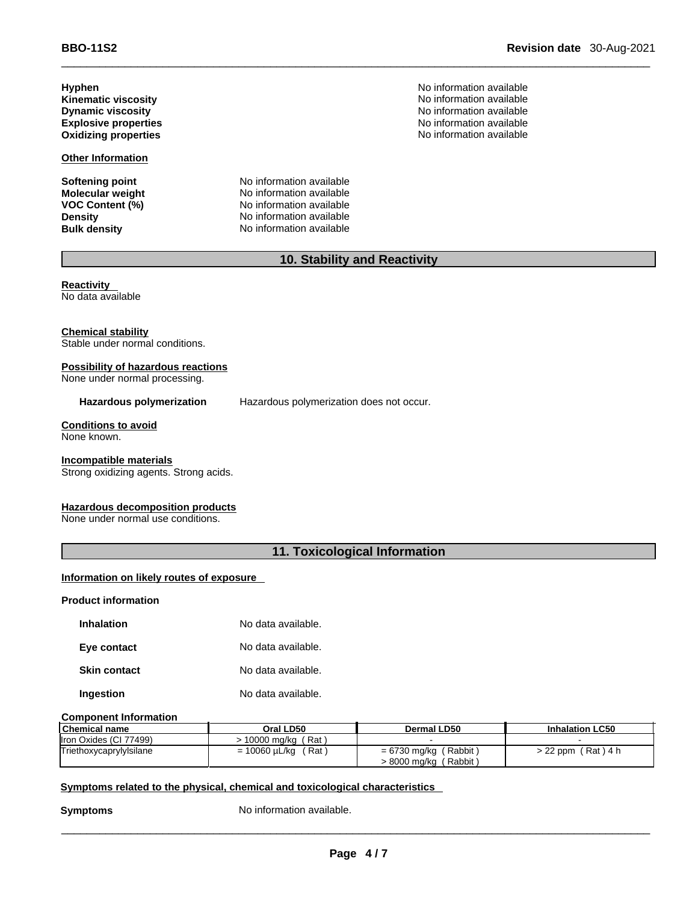**Hyphen**<br> **Kinematic viscosity**<br> **Kinematic viscosity**<br> **No information available** 

**Other Information**

**Softening point** No information available

**Molecular weight** No information available **VOC Content (%)** No information available **Density No information available Bulk density No information available** 

**Kinematic viscosity** No information available **Dynamic viscosity views** No information available **Explosive properties**<br> **Explosive properties**<br> **Oxidizing properties**<br> **Oxidizing properties**<br> **No information available No information available** 

# **10. Stability and Reactivity**

**Reactivity**  No data available

**Chemical stability** Stable under normal conditions.

# **Possibility of hazardous reactions**

None under normal processing.

**Hazardous polymerization** Hazardous polymerization does not occur.

**Conditions to avoid** None known.

### **Incompatible materials**

Strong oxidizing agents. Strong acids.

### **Hazardous decomposition products**

None under normal use conditions.

# **11. Toxicological Information**

## **Information on likely routes of exposure**

#### **Product information**

| <b>Inhalation</b>   | No data available. |
|---------------------|--------------------|
| Eye contact         | No data available. |
| <b>Skin contact</b> | No data available. |
| Ingestion           | No data available. |

#### **Component Information**

| <b>Chemical name</b>    | Oral LD50              | Dermal LD50             | <b>Inhalation LC50</b> |
|-------------------------|------------------------|-------------------------|------------------------|
| Iron Oxides (CI 77499)  | ⋅ 10000 ma/ka ( Rat )  |                         |                        |
| Triethoxycaprylylsilane | = 10060 µL/kg<br>(Rat) | $= 6730$ mg/kg (Rabbit) | > 22 ppm (Rat) 4 h     |
|                         |                        | > 8000 mg/kg (Rabbit)   |                        |

### **<u>Symptoms related to the physical, chemical and toxicological characteristics</u>**

**Symptoms** No information available.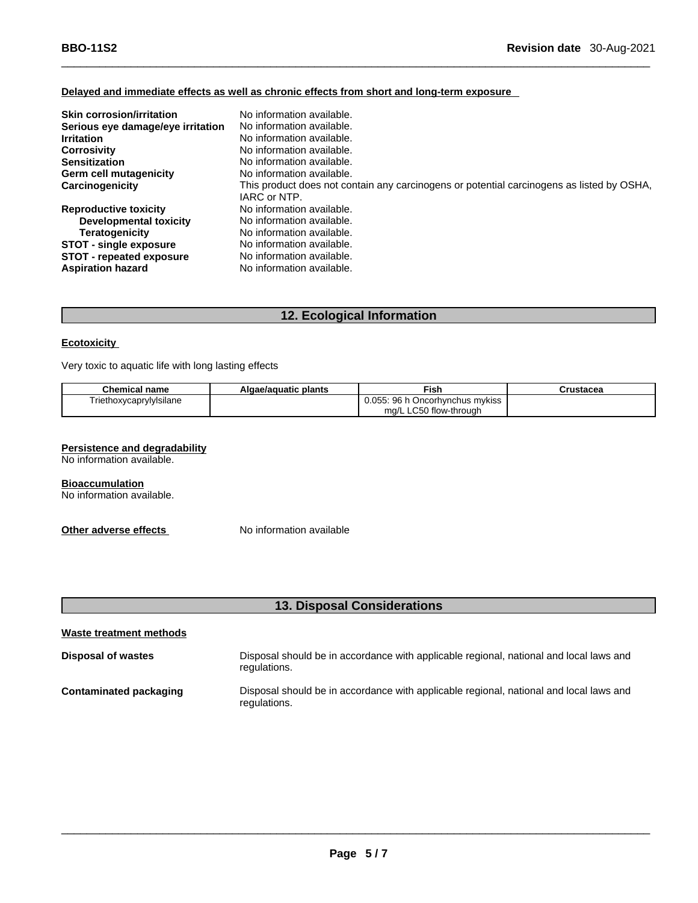# **Delayed and immediate effects as well as chronic effects from short and long-term exposure**

| <b>Skin corrosion/irritation</b>  | No information available.                                                                 |
|-----------------------------------|-------------------------------------------------------------------------------------------|
| Serious eye damage/eye irritation | No information available.                                                                 |
| <b>Irritation</b>                 | No information available.                                                                 |
| <b>Corrosivity</b>                | No information available.                                                                 |
| <b>Sensitization</b>              | No information available.                                                                 |
| Germ cell mutagenicity            | No information available.                                                                 |
| Carcinogenicity                   | This product does not contain any carcinogens or potential carcinogens as listed by OSHA, |
|                                   | IARC or NTP.                                                                              |
| <b>Reproductive toxicity</b>      | No information available.                                                                 |
| <b>Developmental toxicity</b>     | No information available.                                                                 |
| <b>Teratogenicity</b>             | No information available.                                                                 |
| <b>STOT - single exposure</b>     | No information available.                                                                 |
| STOT - repeated exposure          | No information available.                                                                 |
| <b>Aspiration hazard</b>          | No information available.                                                                 |

# **12. Ecological Information**

#### **Ecotoxicity**

Very toxic to aquatic life with long lasting effects

| <b>Chemical name</b>    | Algae/aguatic plants | ™ish                              | Crustacea |
|-------------------------|----------------------|-----------------------------------|-----------|
| Triethoxycaprylylsilane |                      | 0.055: 96 h Oncorhynchus mykiss ' |           |
|                         |                      | ma/L LC50 flow-through            |           |

#### **Persistence and degradability**

No information available.

**Bioaccumulation** No information available.

**Other adverse effects** No information available

# **13. Disposal Considerations**

| Waste treatment methods |                                                                                                        |  |  |  |
|-------------------------|--------------------------------------------------------------------------------------------------------|--|--|--|
| Disposal of wastes      | Disposal should be in accordance with applicable regional, national and local laws and<br>regulations. |  |  |  |
| Contaminated packaging  | Disposal should be in accordance with applicable regional, national and local laws and<br>regulations. |  |  |  |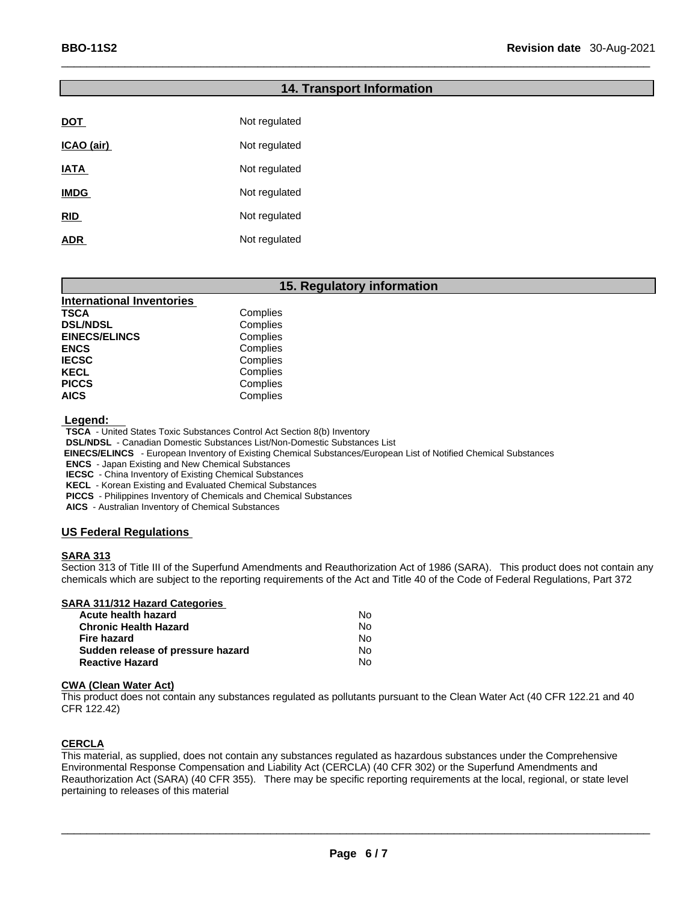|             | 14. Iransport |
|-------------|---------------|
|             |               |
| DOT         | Not regulated |
| ICAO (air)  | Not regulated |
| IATA        | Not regulated |
| <b>IMDG</b> | Not regulated |
| <b>RID</b>  | Not regulated |
| ADR         | Not regulated |

# **15. Regulatory information**

**Information** 

| Complies |
|----------|
| Complies |
| Complies |
| Complies |
| Complies |
| Complies |
| Complies |
| Complies |
|          |

 **Legend:** 

**TSCA** - United States Toxic Substances Control Act Section 8(b) Inventory

**DSL/NDSL** - Canadian Domestic Substances List/Non-Domestic Substances List

 **EINECS/ELINCS** - European Inventory of Existing Chemical Substances/European List of Notified Chemical Substances

**ENCS** - Japan Existing and New Chemical Substances

**IECSC** - China Inventory of Existing Chemical Substances

**KECL** - Korean Existing and Evaluated Chemical Substances

**PICCS** - Philippines Inventory of Chemicals and Chemical Substances

**AICS** - Australian Inventory of Chemical Substances

# **US Federal Regulations**

### **SARA 313**

Section 313 of Title III of the Superfund Amendments and Reauthorization Act of 1986 (SARA). This product does not contain any chemicals which are subject to the reporting requirements of the Act and Title 40 of the Code of Federal Regulations, Part 372

| <b>SARA 311/312 Hazard Categories</b> |  |
|---------------------------------------|--|
|                                       |  |

| Acute health hazard               | Nο  |  |
|-----------------------------------|-----|--|
| Chronic Health Hazard             | No. |  |
| Fire hazard                       | No. |  |
| Sudden release of pressure hazard | No. |  |
| Reactive Hazard                   | N٥  |  |

#### **CWA (Clean WaterAct)**

This product does not contain any substances regulated as pollutants pursuant to the Clean Water Act (40 CFR 122.21 and 40 CFR 122.42)

# **CERCLA**

This material, as supplied, does not contain any substances regulated as hazardous substances under the Comprehensive Environmental Response Compensation and Liability Act (CERCLA) (40 CFR 302) or the Superfund Amendments and Reauthorization Act (SARA) (40 CFR 355). There may be specific reporting requirements at the local, regional, or state level pertaining to releases of this material